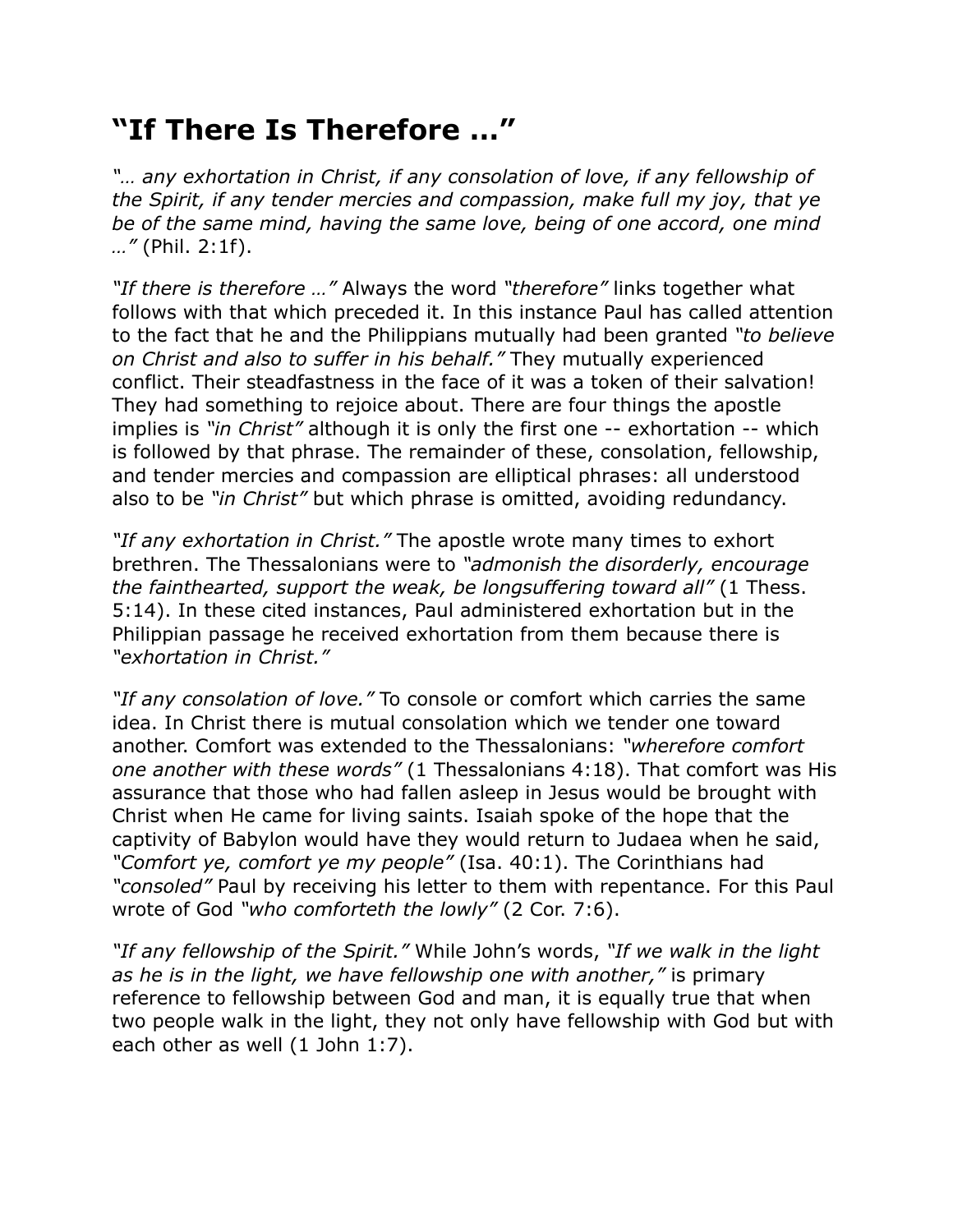## **"If There Is Therefore …"**

*"… any exhortation in Christ, if any consolation of love, if any fellowship of the Spirit, if any tender mercies and compassion, make full my joy, that ye be of the same mind, having the same love, being of one accord, one mind …"* (Phil. 2:1f).

*"If there is therefore …"* Always the word *"therefore"* links together what follows with that which preceded it. In this instance Paul has called attention to the fact that he and the Philippians mutually had been granted *"to believe on Christ and also to suffer in his behalf."* They mutually experienced conflict. Their steadfastness in the face of it was a token of their salvation! They had something to rejoice about. There are four things the apostle implies is *"in Christ"* although it is only the first one -- exhortation -- which is followed by that phrase. The remainder of these, consolation, fellowship, and tender mercies and compassion are elliptical phrases: all understood also to be *"in Christ"* but which phrase is omitted, avoiding redundancy.

*"If any exhortation in Christ."* The apostle wrote many times to exhort brethren. The Thessalonians were to *"admonish the disorderly, encourage the fainthearted, support the weak, be longsuffering toward all"* (1 Thess. 5:14). In these cited instances, Paul administered exhortation but in the Philippian passage he received exhortation from them because there is *"exhortation in Christ."*

*"If any consolation of love."* To console or comfort which carries the same idea. In Christ there is mutual consolation which we tender one toward another. Comfort was extended to the Thessalonians: *"wherefore comfort one another with these words"* (1 Thessalonians 4:18). That comfort was His assurance that those who had fallen asleep in Jesus would be brought with Christ when He came for living saints. Isaiah spoke of the hope that the captivity of Babylon would have they would return to Judaea when he said, *"Comfort ye, comfort ye my people"* (Isa. 40:1). The Corinthians had *"consoled"* Paul by receiving his letter to them with repentance. For this Paul wrote of God *"who comforteth the lowly"* (2 Cor. 7:6).

*"If any fellowship of the Spirit."* While John's words, *"If we walk in the light as he is in the light, we have fellowship one with another,"* is primary reference to fellowship between God and man, it is equally true that when two people walk in the light, they not only have fellowship with God but with each other as well (1 John 1:7).